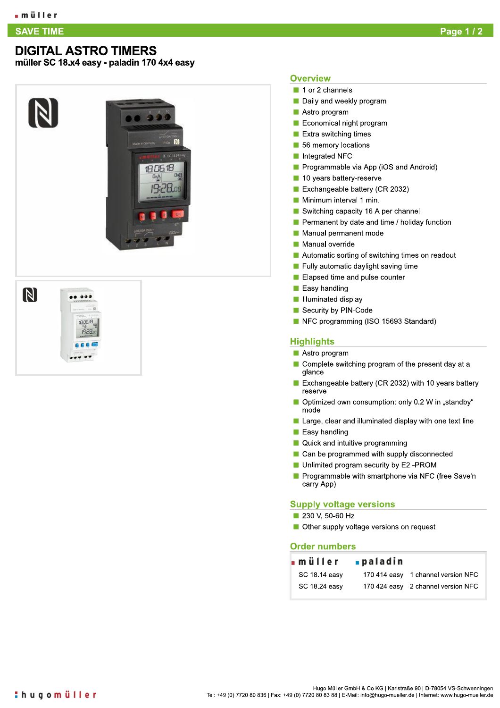#### **SAVE TIME**

## **DIGITAL ASTRO TIMERS**

müller SC 18.x4 easy - paladin 170 4x4 easy

N

DG 18  $0<sub>0</sub>$ 

9:28.00

### **Overview**

- 1 or 2 channels
- Daily and weekly program
- Astro program
- Economical night program
- $\blacksquare$  Extra switching times
- 56 memory locations
- Integrated NFC
- Programmable via App (iOS and Android)
- 10 years battery-reserve
- Exchangeable battery (CR 2032)
- Minimum interval 1 min.
- Switching capacity 16 A per channel
- Permanent by date and time / holiday function
- Manual permanent mode
- Manual override
- Automatic sorting of switching times on readout
- Fully automatic daylight saving time
- Elapsed time and pulse counter
- **Easy handling**
- Illuminated display
- Security by PIN-Code
- NFC programming (ISO 15693 Standard)

#### **Highlights**

- Astro program
- Complete switching program of the present day at a glance
- Exchangeable battery (CR 2032) with 10 years battery reserve
- Optimized own consumption: only 0.2 W in "standby" mode
- Large, clear and illuminated display with one text line
- $\blacksquare$  Easy handling
- Quick and intuitive programming
- Can be programmed with supply disconnected
- Unlimited program security by E2 -PROM
- Programmable with smartphone via NFC (free Save'n carry App)

#### **Supply voltage versions**

- 230 V, 50-60 Hz
- Other supply voltage versions on request

#### **Order numbers**

| ∎müller       | ∎paladin |                                    |
|---------------|----------|------------------------------------|
| SC 18.14 easy |          | 170 414 easy 1 channel version NFC |
| SC 18.24 easy |          | 170 424 easy 2 channel version NFC |